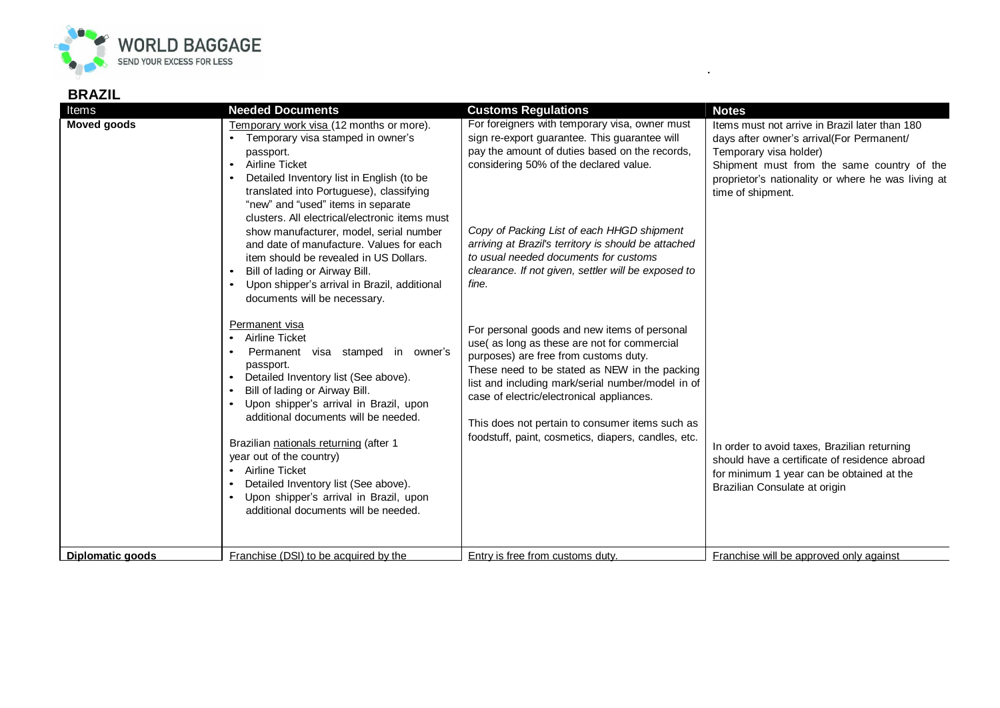

## **BRAZIL**

| Items              | <b>Needed Documents</b>                                                                                                                                                                                                                                                                                                                                                                                                                                                                                                                                                                                                                                                                                                                                                                                                                                                                                                                                                                                                                        | <b>Customs Regulations</b>                                                                                                                                                                                                                                                                                                                                                                                                                                                                                                                                                                                                                                                                                                                                                                                      | <b>Notes</b>                                                                                                                                                                                                                                                                                                                                                                                                                  |
|--------------------|------------------------------------------------------------------------------------------------------------------------------------------------------------------------------------------------------------------------------------------------------------------------------------------------------------------------------------------------------------------------------------------------------------------------------------------------------------------------------------------------------------------------------------------------------------------------------------------------------------------------------------------------------------------------------------------------------------------------------------------------------------------------------------------------------------------------------------------------------------------------------------------------------------------------------------------------------------------------------------------------------------------------------------------------|-----------------------------------------------------------------------------------------------------------------------------------------------------------------------------------------------------------------------------------------------------------------------------------------------------------------------------------------------------------------------------------------------------------------------------------------------------------------------------------------------------------------------------------------------------------------------------------------------------------------------------------------------------------------------------------------------------------------------------------------------------------------------------------------------------------------|-------------------------------------------------------------------------------------------------------------------------------------------------------------------------------------------------------------------------------------------------------------------------------------------------------------------------------------------------------------------------------------------------------------------------------|
| <b>Moved goods</b> | Temporary work visa (12 months or more).<br>Temporary visa stamped in owner's<br>passport.<br>Airline Ticket<br>$\bullet$<br>Detailed Inventory list in English (to be<br>translated into Portuguese), classifying<br>"new" and "used" items in separate<br>clusters. All electrical/electronic items must<br>show manufacturer, model, serial number<br>and date of manufacture. Values for each<br>item should be revealed in US Dollars.<br>Bill of lading or Airway Bill.<br>Upon shipper's arrival in Brazil, additional<br>documents will be necessary.<br>Permanent visa<br>Airline Ticket<br>$\bullet$<br>Permanent visa stamped in owner's<br>passport.<br>Detailed Inventory list (See above).<br>Bill of lading or Airway Bill.<br>Upon shipper's arrival in Brazil, upon<br>additional documents will be needed.<br>Brazilian nationals returning (after 1<br>year out of the country)<br>Airline Ticket<br>Detailed Inventory list (See above).<br>Upon shipper's arrival in Brazil, upon<br>additional documents will be needed. | For foreigners with temporary visa, owner must<br>sign re-export guarantee. This guarantee will<br>pay the amount of duties based on the records,<br>considering 50% of the declared value.<br>Copy of Packing List of each HHGD shipment<br>arriving at Brazil's territory is should be attached<br>to usual needed documents for customs<br>clearance. If not given, settler will be exposed to<br>fine.<br>For personal goods and new items of personal<br>use(as long as these are not for commercial<br>purposes) are free from customs duty.<br>These need to be stated as NEW in the packing<br>list and including mark/serial number/model in of<br>case of electric/electronical appliances.<br>This does not pertain to consumer items such as<br>foodstuff, paint, cosmetics, diapers, candles, etc. | Items must not arrive in Brazil later than 180<br>days after owner's arrival(For Permanent/<br>Temporary visa holder)<br>Shipment must from the same country of the<br>proprietor's nationality or where he was living at<br>time of shipment.<br>In order to avoid taxes, Brazilian returning<br>should have a certificate of residence abroad<br>for minimum 1 year can be obtained at the<br>Brazilian Consulate at origin |
| Diplomatic goods   | Franchise (DSI) to be acquired by the                                                                                                                                                                                                                                                                                                                                                                                                                                                                                                                                                                                                                                                                                                                                                                                                                                                                                                                                                                                                          | Entry is free from customs duty.                                                                                                                                                                                                                                                                                                                                                                                                                                                                                                                                                                                                                                                                                                                                                                                | Franchise will be approved only against                                                                                                                                                                                                                                                                                                                                                                                       |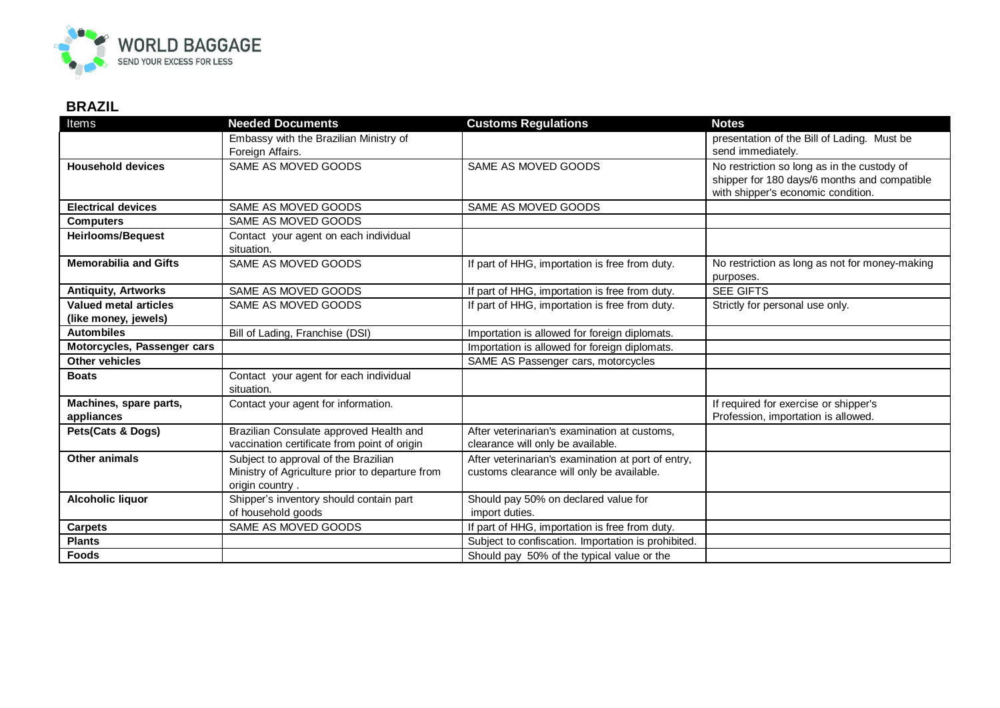

## **BRAZIL**

| Items                                                | <b>Needed Documents</b>                                                                                    | <b>Customs Regulations</b>                                                                      | <b>Notes</b>                                                                                                                      |
|------------------------------------------------------|------------------------------------------------------------------------------------------------------------|-------------------------------------------------------------------------------------------------|-----------------------------------------------------------------------------------------------------------------------------------|
|                                                      | Embassy with the Brazilian Ministry of<br>Foreign Affairs.                                                 |                                                                                                 | presentation of the Bill of Lading. Must be<br>send immediately.                                                                  |
| <b>Household devices</b>                             | SAME AS MOVED GOODS                                                                                        | SAME AS MOVED GOODS                                                                             | No restriction so long as in the custody of<br>shipper for 180 days/6 months and compatible<br>with shipper's economic condition. |
| <b>Electrical devices</b>                            | SAME AS MOVED GOODS                                                                                        | SAME AS MOVED GOODS                                                                             |                                                                                                                                   |
| <b>Computers</b>                                     | SAME AS MOVED GOODS                                                                                        |                                                                                                 |                                                                                                                                   |
| <b>Heirlooms/Bequest</b>                             | Contact your agent on each individual<br>situation.                                                        |                                                                                                 |                                                                                                                                   |
| <b>Memorabilia and Gifts</b>                         | SAME AS MOVED GOODS                                                                                        | If part of HHG, importation is free from duty.                                                  | No restriction as long as not for money-making<br>purposes.                                                                       |
| <b>Antiquity, Artworks</b>                           | SAME AS MOVED GOODS                                                                                        | If part of HHG, importation is free from duty.                                                  | <b>SEE GIFTS</b>                                                                                                                  |
| <b>Valued metal articles</b><br>(like money, jewels) | SAME AS MOVED GOODS                                                                                        | If part of HHG, importation is free from duty.                                                  | Strictly for personal use only.                                                                                                   |
| <b>Autombiles</b>                                    | Bill of Lading, Franchise (DSI)                                                                            | Importation is allowed for foreign diplomats.                                                   |                                                                                                                                   |
| Motorcycles, Passenger cars                          |                                                                                                            | Importation is allowed for foreign diplomats.                                                   |                                                                                                                                   |
| <b>Other vehicles</b>                                |                                                                                                            | SAME AS Passenger cars, motorcycles                                                             |                                                                                                                                   |
| <b>Boats</b>                                         | Contact your agent for each individual<br>situation.                                                       |                                                                                                 |                                                                                                                                   |
| Machines, spare parts,<br>appliances                 | Contact your agent for information.                                                                        |                                                                                                 | If required for exercise or shipper's<br>Profession, importation is allowed.                                                      |
| Pets(Cats & Dogs)                                    | Brazilian Consulate approved Health and<br>vaccination certificate from point of origin                    | After veterinarian's examination at customs,<br>clearance will only be available.               |                                                                                                                                   |
| <b>Other animals</b>                                 | Subject to approval of the Brazilian<br>Ministry of Agriculture prior to departure from<br>origin country. | After veterinarian's examination at port of entry,<br>customs clearance will only be available. |                                                                                                                                   |
| Alcoholic liquor                                     | Shipper's inventory should contain part<br>of household goods                                              | Should pay 50% on declared value for<br>import duties.                                          |                                                                                                                                   |
| <b>Carpets</b>                                       | SAME AS MOVED GOODS                                                                                        | If part of HHG, importation is free from duty.                                                  |                                                                                                                                   |
| <b>Plants</b>                                        |                                                                                                            | Subject to confiscation. Importation is prohibited.                                             |                                                                                                                                   |
| <b>Foods</b>                                         |                                                                                                            | Should pay 50% of the typical value or the                                                      |                                                                                                                                   |